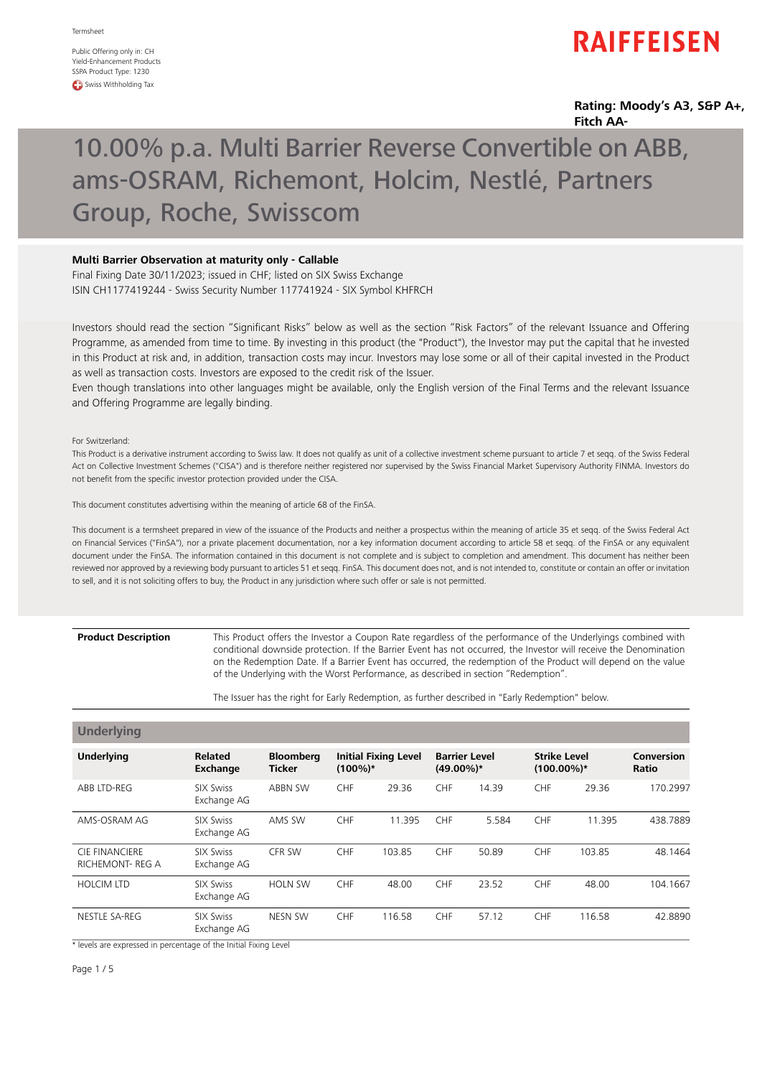Public Offering only in: CH Yield-Enhancement Products SSPA Product Type: 1230 **CD** Swiss Withholding Tax

# **RAIFFEISEN**

## **Rating: Moody's A3, S&P A+, Fitch AA-**

# 10.00% p.a. Multi Barrier Reverse Convertible on ABB, ams-OSRAM, Richemont, Holcim, Nestlé, Partners Group, Roche, Swisscom

## **Multi Barrier Observation at maturity only - Callable**

Final Fixing Date 30/11/2023; issued in CHF; listed on SIX Swiss Exchange ISIN CH1177419244 - Swiss Security Number 117741924 - SIX Symbol KHFRCH

Investors should read the section "Significant Risks" below as well as the section "Risk Factors" of the relevant Issuance and Offering Programme, as amended from time to time. By investing in this product (the "Product"), the Investor may put the capital that he invested in this Product at risk and, in addition, transaction costs may incur. Investors may lose some or all of their capital invested in the Product as well as transaction costs. Investors are exposed to the credit risk of the Issuer.

Even though translations into other languages might be available, only the English version of the Final Terms and the relevant Issuance and Offering Programme are legally binding.

For Switzerland:

**Product Description**

This Product is a derivative instrument according to Swiss law. It does not qualify as unit of a collective investment scheme pursuant to article 7 et seqq. of the Swiss Federal Act on Collective Investment Schemes ("CISA") and is therefore neither registered nor supervised by the Swiss Financial Market Supervisory Authority FINMA. Investors do not benefit from the specific investor protection provided under the CISA.

This document constitutes advertising within the meaning of article 68 of the FinSA.

This document is a termsheet prepared in view of the issuance of the Products and neither a prospectus within the meaning of article 35 et seqq. of the Swiss Federal Act on Financial Services ("FinSA"), nor a private placement documentation, nor a key information document according to article 58 et seqq. of the FinSA or any equivalent document under the FinSA. The information contained in this document is not complete and is subject to completion and amendment. This document has neither been reviewed nor approved by a reviewing body pursuant to articles 51 et seqq. FinSA. This document does not, and is not intended to, constitute or contain an offer or invitation to sell, and it is not soliciting offers to buy, the Product in any jurisdiction where such offer or sale is not permitted.

### This Product offers the Investor a Coupon Rate regardless of the performance of the Underlyings combined with conditional downside protection. If the Barrier Event has not occurred, the Investor will receive the Denomination on the Redemption Date. If a Barrier Event has occurred, the redemption of the Product will depend on the value of the Underlying with the Worst Performance, as described in section "Redemption".

The Issuer has the right for Early Redemption, as further described in "Early Redemption" below.

| <b>Underlying</b>                               |                                   |                                   |            |                             |                                      |       |                                      |        |                     |
|-------------------------------------------------|-----------------------------------|-----------------------------------|------------|-----------------------------|--------------------------------------|-------|--------------------------------------|--------|---------------------|
| <b>Underlying</b>                               | <b>Related</b><br><b>Exchange</b> | <b>Bloomberg</b><br><b>Ticker</b> | $(100\%)*$ | <b>Initial Fixing Level</b> | <b>Barrier Level</b><br>$(49.00\%)*$ |       | <b>Strike Level</b><br>$(100.00\%)*$ |        | Conversion<br>Ratio |
| ABB LTD-REG                                     | SIX Swiss<br>Exchange AG          | ABBN SW                           | <b>CHF</b> | 29.36                       | <b>CHF</b>                           | 14.39 | <b>CHF</b>                           | 29.36  | 170.2997            |
| AMS-OSRAM AG                                    | SIX Swiss<br>Exchange AG          | AMS SW                            | CHF        | 11.395                      | CHF                                  | 5.584 | CHF                                  | 11.395 | 438.7889            |
| <b>CIE FINANCIERE</b><br><b>RICHEMONT-REG A</b> | SIX Swiss<br>Exchange AG          | CFR SW                            | CHF        | 103.85                      | <b>CHF</b>                           | 50.89 | CHF                                  | 103.85 | 48.1464             |
| <b>HOLCIM LTD</b>                               | SIX Swiss<br>Exchange AG          | <b>HOLN SW</b>                    | CHF        | 48.00                       | <b>CHF</b>                           | 23.52 | CHF                                  | 48.00  | 104.1667            |
| NESTLE SA-REG                                   | SIX Swiss<br>Exchange AG          | <b>NESN SW</b>                    | CHF        | 116.58                      | CHF                                  | 57.12 | CHF                                  | 116.58 | 42.8890             |

\* levels are expressed in percentage of the Initial Fixing Level

Page 1/5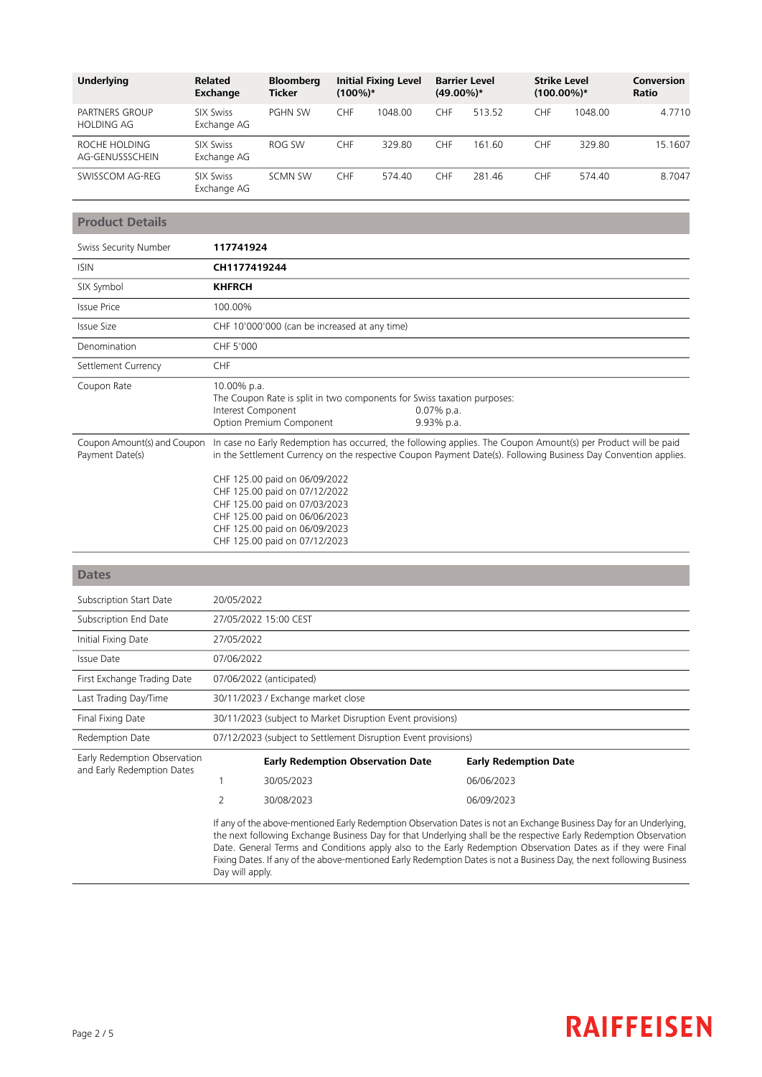| <b>Underlying</b>                   | <b>Related</b><br>Exchange      | <b>Bloomberg</b><br><b>Ticker</b> | $(100\%)*$ | <b>Initial Fixing Level</b> | $(49.00\%)*$ | <b>Barrier Level</b> | <b>Strike Level</b><br>$(100.00\%)*$ |         | Conversion<br>Ratio |
|-------------------------------------|---------------------------------|-----------------------------------|------------|-----------------------------|--------------|----------------------|--------------------------------------|---------|---------------------|
| PARTNERS GROUP<br><b>HOLDING AG</b> | <b>SIX Swiss</b><br>Exchange AG | <b>PGHN SW</b>                    | CHF        | 1048.00                     | <b>CHF</b>   | 513.52               | <b>CHF</b>                           | 1048.00 | 4.7710              |
| ROCHE HOLDING<br>AG-GENUSSSCHEIN    | <b>SIX Swiss</b><br>Exchange AG | ROG SW                            | CHF        | 329.80                      | <b>CHF</b>   | 161.60               | <b>CHF</b>                           | 329.80  | 15.1607             |
| SWISSCOM AG-REG                     | <b>SIX Swiss</b><br>Exchange AG | <b>SCMN SW</b>                    | CHF        | 574.40                      | <b>CHF</b>   | 281.46               | <b>CHF</b>                           | 574.40  | 8.7047              |

# **Product Details**

| Swiss Security Number                          | 117741924                                                                                                                                                                                                                                                                                           |
|------------------------------------------------|-----------------------------------------------------------------------------------------------------------------------------------------------------------------------------------------------------------------------------------------------------------------------------------------------------|
| <b>ISIN</b>                                    | CH1177419244                                                                                                                                                                                                                                                                                        |
| SIX Symbol                                     | <b>KHFRCH</b>                                                                                                                                                                                                                                                                                       |
| Issue Price                                    | 100.00%                                                                                                                                                                                                                                                                                             |
| Issue Size                                     | CHF 10'000'000 (can be increased at any time)                                                                                                                                                                                                                                                       |
| Denomination                                   | CHF 5'000                                                                                                                                                                                                                                                                                           |
| Settlement Currency                            | <b>CHF</b>                                                                                                                                                                                                                                                                                          |
| Coupon Rate                                    | 10.00% p.a.<br>The Coupon Rate is split in two components for Swiss taxation purposes:<br>Interest Component<br>$0.07\%$ p.a.<br>Option Premium Component<br>9.93% p.a.                                                                                                                             |
| Coupon Amount(s) and Coupon<br>Payment Date(s) | In case no Early Redemption has occurred, the following applies. The Coupon Amount(s) per Product will be paid<br>in the Settlement Currency on the respective Coupon Payment Date(s). Following Business Day Convention applies.<br>CHF 125.00 paid on 06/09/2022<br>CHF 125.00 paid on 07/12/2022 |

|  |  | CHE T25.00 DAIU ON 00/09/2022 |  |
|--|--|-------------------------------|--|
|  |  | CHF 125.00 paid on 07/12/2022 |  |
|  |  | CHF 125.00 paid on 07/03/2023 |  |
|  |  | CHF 125.00 paid on 06/06/2023 |  |
|  |  | CHF 125.00 paid on 06/09/2023 |  |
|  |  | CHF 125.00 paid on 07/12/2023 |  |
|  |  |                               |  |

Day will apply.

| <b>Dates</b>                                               |                                                                |                                          |                                                                                                                                                                                                                                                                                                                                                           |  |  |  |
|------------------------------------------------------------|----------------------------------------------------------------|------------------------------------------|-----------------------------------------------------------------------------------------------------------------------------------------------------------------------------------------------------------------------------------------------------------------------------------------------------------------------------------------------------------|--|--|--|
| Subscription Start Date                                    | 20/05/2022                                                     |                                          |                                                                                                                                                                                                                                                                                                                                                           |  |  |  |
| Subscription End Date                                      |                                                                | 27/05/2022 15:00 CEST                    |                                                                                                                                                                                                                                                                                                                                                           |  |  |  |
| Initial Fixing Date                                        | 27/05/2022                                                     |                                          |                                                                                                                                                                                                                                                                                                                                                           |  |  |  |
| Issue Date                                                 |                                                                | 07/06/2022                               |                                                                                                                                                                                                                                                                                                                                                           |  |  |  |
| First Exchange Trading Date                                | 07/06/2022 (anticipated)                                       |                                          |                                                                                                                                                                                                                                                                                                                                                           |  |  |  |
| Last Trading Day/Time                                      | 30/11/2023 / Exchange market close                             |                                          |                                                                                                                                                                                                                                                                                                                                                           |  |  |  |
| Final Fixing Date                                          | 30/11/2023 (subject to Market Disruption Event provisions)     |                                          |                                                                                                                                                                                                                                                                                                                                                           |  |  |  |
| Redemption Date                                            | 07/12/2023 (subject to Settlement Disruption Event provisions) |                                          |                                                                                                                                                                                                                                                                                                                                                           |  |  |  |
| Early Redemption Observation<br>and Early Redemption Dates |                                                                | <b>Early Redemption Observation Date</b> | <b>Early Redemption Date</b>                                                                                                                                                                                                                                                                                                                              |  |  |  |
|                                                            |                                                                | 30/05/2023                               | 06/06/2023                                                                                                                                                                                                                                                                                                                                                |  |  |  |
|                                                            | 2                                                              | 30/08/2023                               | 06/09/2023                                                                                                                                                                                                                                                                                                                                                |  |  |  |
|                                                            |                                                                |                                          | If any of the above-mentioned Early Redemption Observation Dates is not an Exchange Business Day for an Underlying,<br>the next following Exchange Business Day for that Underlying shall be the respective Early Redemption Observation<br>Date. General Terms and Conditions apply also to the Early Redemption Observation Dates as if they were Final |  |  |  |

Fixing Dates. If any of the above-mentioned Early Redemption Dates is not a Business Day, the next following Business

# **RAIFFEISEN**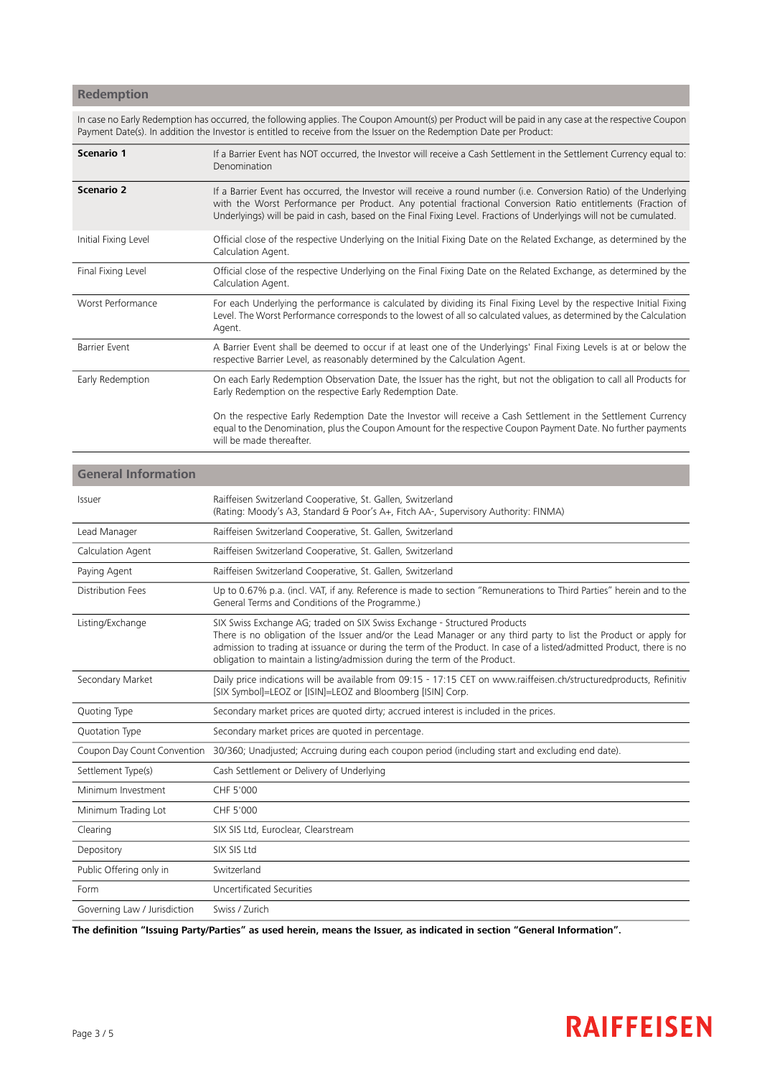# **Redemption**

In case no Early Redemption has occurred, the following applies. The Coupon Amount(s) per Product will be paid in any case at the respective Coupon Payment Date(s). In addition the Investor is entitled to receive from the Issuer on the Redemption Date per Product:

| Scenario 1           | If a Barrier Event has NOT occurred, the Investor will receive a Cash Settlement in the Settlement Currency equal to:<br>Denomination                                                                                                                                                                                                                     |
|----------------------|-----------------------------------------------------------------------------------------------------------------------------------------------------------------------------------------------------------------------------------------------------------------------------------------------------------------------------------------------------------|
| <b>Scenario 2</b>    | If a Barrier Event has occurred, the Investor will receive a round number (i.e. Conversion Ratio) of the Underlying<br>with the Worst Performance per Product. Any potential fractional Conversion Ratio entitlements (Fraction of<br>Underlyings) will be paid in cash, based on the Final Fixing Level. Fractions of Underlyings will not be cumulated. |
| Initial Fixing Level | Official close of the respective Underlying on the Initial Fixing Date on the Related Exchange, as determined by the<br>Calculation Agent.                                                                                                                                                                                                                |
| Final Fixing Level   | Official close of the respective Underlying on the Final Fixing Date on the Related Exchange, as determined by the<br>Calculation Agent.                                                                                                                                                                                                                  |
| Worst Performance    | For each Underlying the performance is calculated by dividing its Final Fixing Level by the respective Initial Fixing<br>Level. The Worst Performance corresponds to the lowest of all so calculated values, as determined by the Calculation<br>Agent.                                                                                                   |
| <b>Barrier Event</b> | A Barrier Event shall be deemed to occur if at least one of the Underlyings' Final Fixing Levels is at or below the<br>respective Barrier Level, as reasonably determined by the Calculation Agent.                                                                                                                                                       |
| Early Redemption     | On each Early Redemption Observation Date, the Issuer has the right, but not the obligation to call all Products for<br>Early Redemption on the respective Early Redemption Date.                                                                                                                                                                         |
|                      | On the respective Early Redemption Date the Investor will receive a Cash Settlement in the Settlement Currency<br>equal to the Denomination, plus the Coupon Amount for the respective Coupon Payment Date. No further payments<br>will be made thereafter.                                                                                               |

| <b>General Information</b>   |                                                                                                                                                                                                                                                                                                                                                                                                      |
|------------------------------|------------------------------------------------------------------------------------------------------------------------------------------------------------------------------------------------------------------------------------------------------------------------------------------------------------------------------------------------------------------------------------------------------|
| Issuer                       | Raiffeisen Switzerland Cooperative, St. Gallen, Switzerland<br>(Rating: Moody's A3, Standard & Poor's A+, Fitch AA-, Supervisory Authority: FINMA)                                                                                                                                                                                                                                                   |
| Lead Manager                 | Raiffeisen Switzerland Cooperative, St. Gallen, Switzerland                                                                                                                                                                                                                                                                                                                                          |
| Calculation Agent            | Raiffeisen Switzerland Cooperative, St. Gallen, Switzerland                                                                                                                                                                                                                                                                                                                                          |
| Paying Agent                 | Raiffeisen Switzerland Cooperative, St. Gallen, Switzerland                                                                                                                                                                                                                                                                                                                                          |
| Distribution Fees            | Up to 0.67% p.a. (incl. VAT, if any. Reference is made to section "Remunerations to Third Parties" herein and to the<br>General Terms and Conditions of the Programme.)                                                                                                                                                                                                                              |
| Listing/Exchange             | SIX Swiss Exchange AG; traded on SIX Swiss Exchange - Structured Products<br>There is no obligation of the Issuer and/or the Lead Manager or any third party to list the Product or apply for<br>admission to trading at issuance or during the term of the Product. In case of a listed/admitted Product, there is no<br>obligation to maintain a listing/admission during the term of the Product. |
| Secondary Market             | Daily price indications will be available from 09:15 - 17:15 CET on www.raiffeisen.ch/structuredproducts, Refinitiv<br>[SIX Symbol]=LEOZ or [ISIN]=LEOZ and Bloomberg [ISIN] Corp.                                                                                                                                                                                                                   |
| Quoting Type                 | Secondary market prices are quoted dirty; accrued interest is included in the prices.                                                                                                                                                                                                                                                                                                                |
| Quotation Type               | Secondary market prices are quoted in percentage.                                                                                                                                                                                                                                                                                                                                                    |
| Coupon Day Count Convention  | 30/360; Unadjusted; Accruing during each coupon period (including start and excluding end date).                                                                                                                                                                                                                                                                                                     |
| Settlement Type(s)           | Cash Settlement or Delivery of Underlying                                                                                                                                                                                                                                                                                                                                                            |
| Minimum Investment           | CHF 5'000                                                                                                                                                                                                                                                                                                                                                                                            |
| Minimum Trading Lot          | CHF 5'000                                                                                                                                                                                                                                                                                                                                                                                            |
| Clearing                     | SIX SIS Ltd, Euroclear, Clearstream                                                                                                                                                                                                                                                                                                                                                                  |
| Depository                   | SIX SIS Ltd                                                                                                                                                                                                                                                                                                                                                                                          |
| Public Offering only in      | Switzerland                                                                                                                                                                                                                                                                                                                                                                                          |
| Form                         | Uncertificated Securities                                                                                                                                                                                                                                                                                                                                                                            |
| Governing Law / Jurisdiction | Swiss / Zurich                                                                                                                                                                                                                                                                                                                                                                                       |

The definition "Issuing Party/Parties" as used herein, means the Issuer, as indicated in section "General Information".

# **RAIFFEISEN**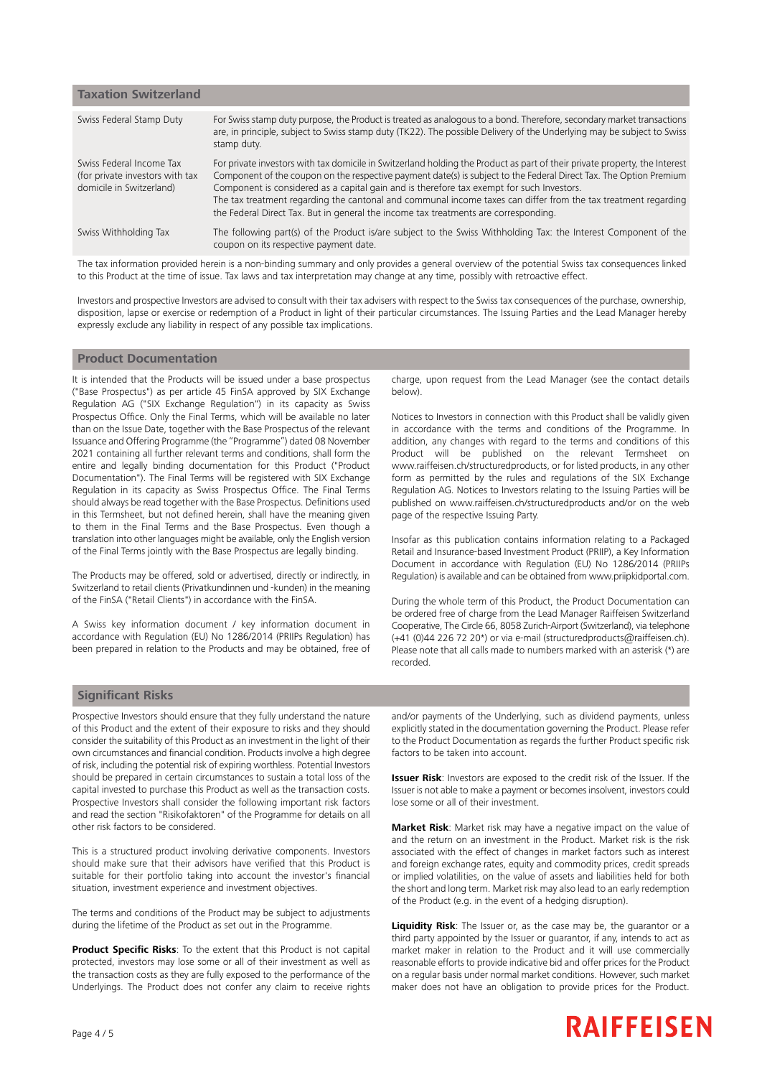| <b>Taxation Switzerland</b>                                                             |                                                                                                                                                                                                                                                                                                                                                                                                                                                                                                                                                        |
|-----------------------------------------------------------------------------------------|--------------------------------------------------------------------------------------------------------------------------------------------------------------------------------------------------------------------------------------------------------------------------------------------------------------------------------------------------------------------------------------------------------------------------------------------------------------------------------------------------------------------------------------------------------|
| Swiss Federal Stamp Duty                                                                | For Swiss stamp duty purpose, the Product is treated as analogous to a bond. Therefore, secondary market transactions<br>are, in principle, subject to Swiss stamp duty (TK22). The possible Delivery of the Underlying may be subject to Swiss<br>stamp duty.                                                                                                                                                                                                                                                                                         |
| Swiss Federal Income Tax<br>(for private investors with tax<br>domicile in Switzerland) | For private investors with tax domicile in Switzerland holding the Product as part of their private property, the Interest<br>Component of the coupon on the respective payment date(s) is subject to the Federal Direct Tax. The Option Premium<br>Component is considered as a capital gain and is therefore tax exempt for such Investors.<br>The tax treatment regarding the cantonal and communal income taxes can differ from the tax treatment regarding<br>the Federal Direct Tax. But in general the income tax treatments are corresponding. |
| Swiss Withholding Tax                                                                   | The following part(s) of the Product is/are subject to the Swiss Withholding Tax: the Interest Component of the<br>coupon on its respective payment date.                                                                                                                                                                                                                                                                                                                                                                                              |
|                                                                                         | The mathematical contribution to the contribution concerned with an interest of contribution of the account former material concerns the field                                                                                                                                                                                                                                                                                                                                                                                                         |

The tax information provided herein is a non-binding summary and only provides a general overview of the potential Swiss tax consequences linked to this Product at the time of issue. Tax laws and tax interpretation may change at any time, possibly with retroactive effect.

Investors and prospective Investors are advised to consult with their tax advisers with respect to the Swiss tax consequences of the purchase, ownership, disposition, lapse or exercise or redemption of a Product in light of their particular circumstances. The Issuing Parties and the Lead Manager hereby expressly exclude any liability in respect of any possible tax implications.

### **Product Documentation**

It is intended that the Products will be issued under a base prospectus ("Base Prospectus") as per article 45 FinSA approved by SIX Exchange Regulation AG ("SIX Exchange Regulation") in its capacity as Swiss Prospectus Office. Only the Final Terms, which will be available no later than on the Issue Date, together with the Base Prospectus of the relevant Issuance and Offering Programme (the "Programme") dated 08 November 2021 containing all further relevant terms and conditions, shall form the entire and legally binding documentation for this Product ("Product Documentation"). The Final Terms will be registered with SIX Exchange Regulation in its capacity as Swiss Prospectus Office. The Final Terms should always be read together with the Base Prospectus. Definitions used in this Termsheet, but not defined herein, shall have the meaning given to them in the Final Terms and the Base Prospectus. Even though a translation into other languages might be available, only the English version of the Final Terms jointly with the Base Prospectus are legally binding.

The Products may be offered, sold or advertised, directly or indirectly, in Switzerland to retail clients (Privatkundinnen und -kunden) in the meaning of the FinSA ("Retail Clients") in accordance with the FinSA.

A Swiss key information document / key information document in accordance with Regulation (EU) No 1286/2014 (PRIIPs Regulation) has been prepared in relation to the Products and may be obtained, free of

charge, upon request from the Lead Manager (see the contact details below).

Notices to Investors in connection with this Product shall be validly given in accordance with the terms and conditions of the Programme. In addition, any changes with regard to the terms and conditions of this Product will be published on the relevant Termsheet on www.raiffeisen.ch/structuredproducts, or for listed products, in any other form as permitted by the rules and regulations of the SIX Exchange Regulation AG. Notices to Investors relating to the Issuing Parties will be published on www.raiffeisen.ch/structuredproducts and/or on the web page of the respective Issuing Party.

Insofar as this publication contains information relating to a Packaged Retail and Insurance-based Investment Product (PRIIP), a Key Information Document in accordance with Regulation (EU) No 1286/2014 (PRIIPs Regulation) is available and can be obtained from www.priipkidportal.com.

During the whole term of this Product, the Product Documentation can be ordered free of charge from the Lead Manager Raiffeisen Switzerland Cooperative, The Circle 66, 8058 Zurich-Airport (Switzerland), via telephone (+41 (0)44 226 72 20\*) or via e-mail (structuredproducts@raiffeisen.ch). Please note that all calls made to numbers marked with an asterisk (\*) are recorded.

### **Significant Risks**

Prospective Investors should ensure that they fully understand the nature of this Product and the extent of their exposure to risks and they should consider the suitability of this Product as an investment in the light of their own circumstances and financial condition. Products involve a high degree of risk, including the potential risk of expiring worthless. Potential Investors should be prepared in certain circumstances to sustain a total loss of the capital invested to purchase this Product as well as the transaction costs. Prospective Investors shall consider the following important risk factors and read the section "Risikofaktoren" of the Programme for details on all other risk factors to be considered.

This is a structured product involving derivative components. Investors should make sure that their advisors have verified that this Product is suitable for their portfolio taking into account the investor's financial situation, investment experience and investment objectives.

The terms and conditions of the Product may be subject to adjustments during the lifetime of the Product as set out in the Programme.

**Product Specific Risks**: To the extent that this Product is not capital protected, investors may lose some or all of their investment as well as the transaction costs as they are fully exposed to the performance of the Underlyings. The Product does not confer any claim to receive rights and/or payments of the Underlying, such as dividend payments, unless explicitly stated in the documentation governing the Product. Please refer to the Product Documentation as regards the further Product specific risk factors to be taken into account.

**Issuer Risk**: Investors are exposed to the credit risk of the Issuer. If the Issuer is not able to make a payment or becomes insolvent, investors could lose some or all of their investment.

**Market Risk**: Market risk may have a negative impact on the value of and the return on an investment in the Product. Market risk is the risk associated with the effect of changes in market factors such as interest and foreign exchange rates, equity and commodity prices, credit spreads or implied volatilities, on the value of assets and liabilities held for both the short and long term. Market risk may also lead to an early redemption of the Product (e.g. in the event of a hedging disruption).

**Liquidity Risk**: The Issuer or, as the case may be, the guarantor or a third party appointed by the Issuer or guarantor, if any, intends to act as market maker in relation to the Product and it will use commercially reasonable efforts to provide indicative bid and offer prices for the Product on a regular basis under normal market conditions. However, such market maker does not have an obligation to provide prices for the Product.